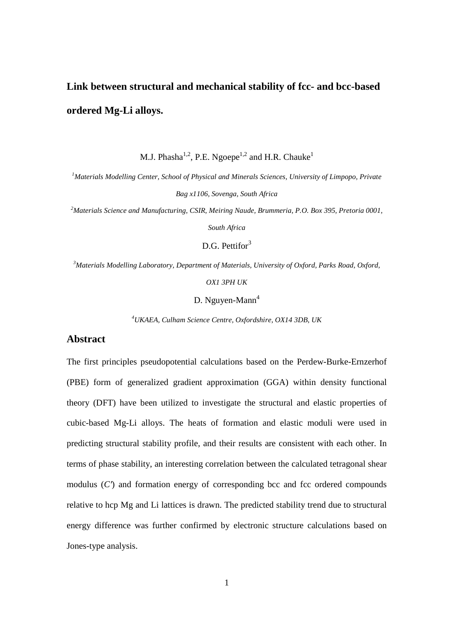# **Link between structural and mechanical stability of fcc- and bcc-based ordered Mg-Li alloys.**

M.J. Phasha<sup>1,2</sup>, P.E. Ngoepe<sup>1,2</sup> and H.R. Chauke<sup>1</sup>

*<sup>1</sup>Materials Modelling Center, School of Physical and Minerals Sciences, University of Limpopo, Private Bag x1106, Sovenga, South Africa* 

*<sup>2</sup>Materials Science and Manufacturing, CSIR, Meiring Naude, Brummeria, P.O. Box 395, Pretoria 0001,* 

*South Africa* 

D.G. Pettifor<sup>3</sup>

*<sup>3</sup>Materials Modelling Laboratory, Department of Materials, University of Oxford, Parks Road, Oxford,* 

*OX1 3PH UK* 

D. Nguyen-Mann<sup>4</sup>

*<sup>4</sup>UKAEA, Culham Science Centre, Oxfordshire, OX14 3DB, UK* 

# **Abstract**

The first principles pseudopotential calculations based on the Perdew-Burke-Ernzerhof (PBE) form of generalized gradient approximation (GGA) within density functional theory (DFT) have been utilized to investigate the structural and elastic properties of cubic-based Mg-Li alloys. The heats of formation and elastic moduli were used in predicting structural stability profile, and their results are consistent with each other. In terms of phase stability, an interesting correlation between the calculated tetragonal shear modulus  $(C)$  and formation energy of corresponding bcc and fcc ordered compounds relative to hcp Mg and Li lattices is drawn. The predicted stability trend due to structural energy difference was further confirmed by electronic structure calculations based on Jones-type analysis.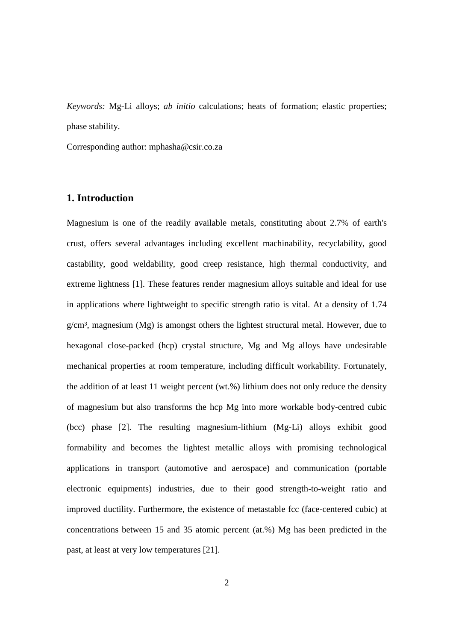*Keywords:* Mg-Li alloys; *ab initio* calculations; heats of formation; elastic properties; phase stability.

Corresponding author: mphasha@csir.co.za

# **1. Introduction**

Magnesium is one of the readily available metals, constituting about 2.7% of earth's crust, offers several advantages including excellent machinability, recyclability, good castability, good weldability, good creep resistance, high thermal conductivity, and extreme lightness [1]. These features render magnesium alloys suitable and ideal for use in applications where lightweight to specific strength ratio is vital. At a density of 1.74  $g/cm<sup>3</sup>$ , magnesium (Mg) is amongst others the lightest structural metal. However, due to hexagonal close-packed (hcp) crystal structure, Mg and Mg alloys have undesirable mechanical properties at room temperature, including difficult workability. Fortunately, the addition of at least 11 weight percent (wt.%) lithium does not only reduce the density of magnesium but also transforms the hcp Mg into more workable body-centred cubic (bcc) phase [2]. The resulting magnesium-lithium (Mg-Li) alloys exhibit good formability and becomes the lightest metallic alloys with promising technological applications in transport (automotive and aerospace) and communication (portable electronic equipments) industries, due to their good strength-to-weight ratio and improved ductility. Furthermore, the existence of metastable fcc (face-centered cubic) at concentrations between 15 and 35 atomic percent (at.%) Mg has been predicted in the past, at least at very low temperatures [21].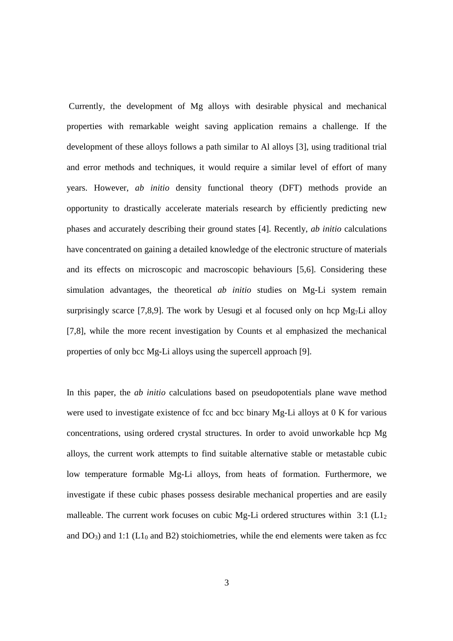Currently, the development of Mg alloys with desirable physical and mechanical properties with remarkable weight saving application remains a challenge. If the development of these alloys follows a path similar to Al alloys [3], using traditional trial and error methods and techniques, it would require a similar level of effort of many years. However, *ab initio* density functional theory (DFT) methods provide an opportunity to drastically accelerate materials research by efficiently predicting new phases and accurately describing their ground states [4]. Recently, *ab initio* calculations have concentrated on gaining a detailed knowledge of the electronic structure of materials and its effects on microscopic and macroscopic behaviours [5,6]. Considering these simulation advantages, the theoretical *ab initio* studies on Mg-Li system remain surprisingly scarce [7,8,9]. The work by Uesugi et al focused only on hcp  $Mg<sub>7</sub>Li$  alloy [7,8], while the more recent investigation by Counts et al emphasized the mechanical properties of only bcc Mg-Li alloys using the supercell approach [9].

In this paper, the *ab initio* calculations based on pseudopotentials plane wave method were used to investigate existence of fcc and bcc binary Mg-Li alloys at 0 K for various concentrations, using ordered crystal structures. In order to avoid unworkable hcp Mg alloys, the current work attempts to find suitable alternative stable or metastable cubic low temperature formable Mg-Li alloys, from heats of formation. Furthermore, we investigate if these cubic phases possess desirable mechanical properties and are easily malleable. The current work focuses on cubic Mg-Li ordered structures within 3:1 ( $L_1$ ) and  $DO<sub>3</sub>$ ) and 1:1 ( $LI<sub>0</sub>$  and B2) stoichiometries, while the end elements were taken as fcc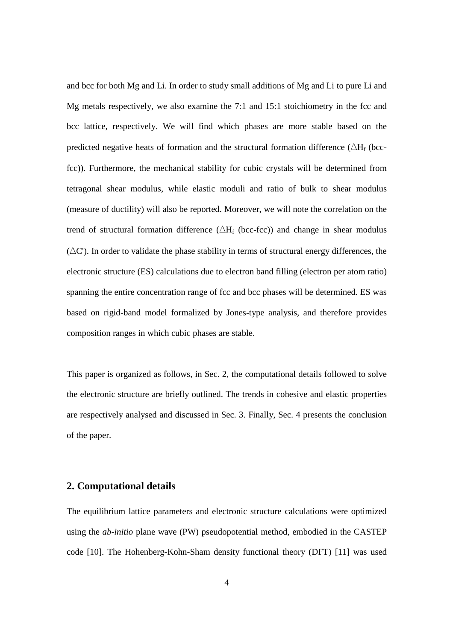and bcc for both Mg and Li. In order to study small additions of Mg and Li to pure Li and Mg metals respectively, we also examine the 7:1 and 15:1 stoichiometry in the fcc and bcc lattice, respectively. We will find which phases are more stable based on the predicted negative heats of formation and the structural formation difference ( $\Delta H_f$  (bccfcc)). Furthermore, the mechanical stability for cubic crystals will be determined from tetragonal shear modulus, while elastic moduli and ratio of bulk to shear modulus (measure of ductility) will also be reported. Moreover, we will note the correlation on the trend of structural formation difference ( $\Delta H_f$  (bcc-fcc)) and change in shear modulus (∆C'). In order to validate the phase stability in terms of structural energy differences, the electronic structure (ES) calculations due to electron band filling (electron per atom ratio) spanning the entire concentration range of fcc and bcc phases will be determined. ES was based on rigid-band model formalized by Jones-type analysis, and therefore provides composition ranges in which cubic phases are stable.

This paper is organized as follows, in Sec. 2, the computational details followed to solve the electronic structure are briefly outlined. The trends in cohesive and elastic properties are respectively analysed and discussed in Sec. 3. Finally, Sec. 4 presents the conclusion of the paper.

## **2. Computational details**

The equilibrium lattice parameters and electronic structure calculations were optimized using the *ab-initio* plane wave (PW) pseudopotential method, embodied in the CASTEP code [10]. The Hohenberg-Kohn-Sham density functional theory (DFT) [11] was used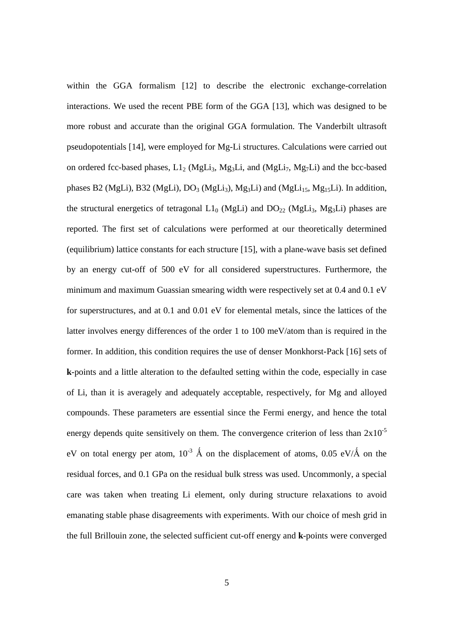within the GGA formalism [12] to describe the electronic exchange-correlation interactions. We used the recent PBE form of the GGA [13], which was designed to be more robust and accurate than the original GGA formulation. The Vanderbilt ultrasoft pseudopotentials [14], were employed for Mg-Li structures. Calculations were carried out on ordered fcc-based phases,  $L1_2$  (MgLi<sub>3</sub>, Mg<sub>3</sub>Li, and (MgLi<sub>7</sub>, Mg<sub>7</sub>Li) and the bcc-based phases B2 (MgLi), B32 (MgLi),  $DO<sub>3</sub>$  (MgLi<sub>3</sub>), Mg<sub>3</sub>Li) and (MgLi<sub>15</sub>, Mg<sub>15</sub>Li). In addition, the structural energetics of tetragonal  $L1_0$  (MgLi) and  $DQ_{22}$  (MgLi<sub>3</sub>, Mg<sub>3</sub>Li) phases are reported. The first set of calculations were performed at our theoretically determined (equilibrium) lattice constants for each structure [15], with a plane-wave basis set defined by an energy cut-off of 500 eV for all considered superstructures. Furthermore, the minimum and maximum Guassian smearing width were respectively set at 0.4 and 0.1 eV for superstructures, and at 0.1 and 0.01 eV for elemental metals, since the lattices of the latter involves energy differences of the order 1 to 100 meV/atom than is required in the former. In addition, this condition requires the use of denser Monkhorst-Pack [16] sets of **k**-points and a little alteration to the defaulted setting within the code, especially in case of Li, than it is averagely and adequately acceptable, respectively, for Mg and alloyed compounds. These parameters are essential since the Fermi energy, and hence the total energy depends quite sensitively on them. The convergence criterion of less than  $2x10^{-5}$ eV on total energy per atom,  $10^{-3}$  Å on the displacement of atoms, 0.05 eV/Å on the residual forces, and 0.1 GPa on the residual bulk stress was used. Uncommonly, a special care was taken when treating Li element, only during structure relaxations to avoid emanating stable phase disagreements with experiments. With our choice of mesh grid in the full Brillouin zone, the selected sufficient cut-off energy and **k**-points were converged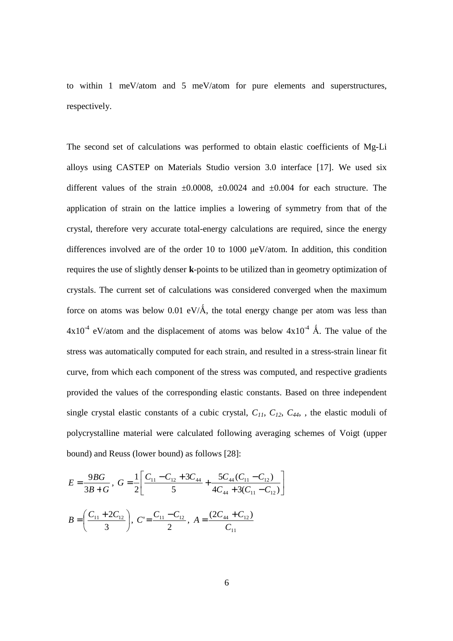to within 1 meV/atom and 5 meV/atom for pure elements and superstructures, respectively.

The second set of calculations was performed to obtain elastic coefficients of Mg-Li alloys using CASTEP on Materials Studio version 3.0 interface [17]. We used six different values of the strain  $\pm 0.0008$ ,  $\pm 0.0024$  and  $\pm 0.004$  for each structure. The application of strain on the lattice implies a lowering of symmetry from that of the crystal, therefore very accurate total-energy calculations are required, since the energy differences involved are of the order 10 to 1000 µeV/atom. In addition, this condition requires the use of slightly denser **k**-points to be utilized than in geometry optimization of crystals. The current set of calculations was considered converged when the maximum force on atoms was below 0.01 eV/ $\AA$ , the total energy change per atom was less than  $4x10^4$  eV/atom and the displacement of atoms was below  $4x10^4$  Å. The value of the stress was automatically computed for each strain, and resulted in a stress-strain linear fit curve, from which each component of the stress was computed, and respective gradients provided the values of the corresponding elastic constants. Based on three independent single crystal elastic constants of a cubic crystal,  $C_{11}$ ,  $C_{12}$ ,  $C_{44}$ , the elastic moduli of polycrystalline material were calculated following averaging schemes of Voigt (upper bound) and Reuss (lower bound) as follows [28]:

$$
E = \frac{9BG}{3B+G}, \ G = \frac{1}{2} \left[ \frac{C_{11} - C_{12} + 3C_{44}}{5} + \frac{5C_{44}(C_{11} - C_{12})}{4C_{44} + 3(C_{11} - C_{12})} \right]
$$

$$
B = \left( \frac{C_{11} + 2C_{12}}{3} \right), \ C = \frac{C_{11} - C_{12}}{2}, \ A = \frac{(2C_{44} + C_{12})}{C_{11}}
$$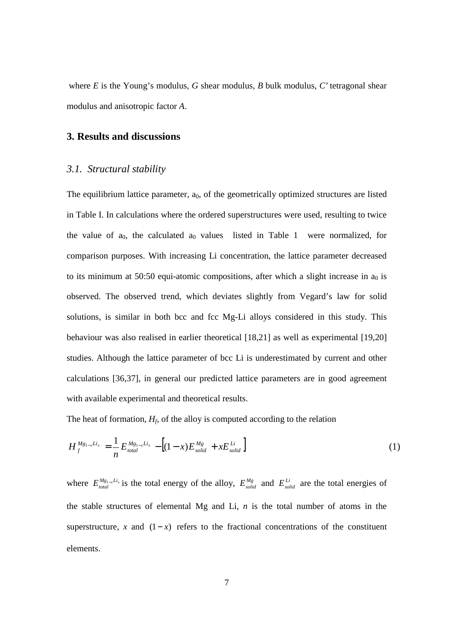where *E* is the Young's modulus, *G* shear modulus, *B* bulk modulus, *C*′ tetragonal shear modulus and anisotropic factor *A*.

#### **3. Results and discussions**

#### *3.1. Structural stability*

The equilibrium lattice parameter,  $a_0$ , of the geometrically optimized structures are listed in Table I. In calculations where the ordered superstructures were used, resulting to twice the value of  $a_0$ , the calculated  $a_0$  values listed in Table 1 were normalized, for comparison purposes. With increasing Li concentration, the lattice parameter decreased to its minimum at 50:50 equi-atomic compositions, after which a slight increase in  $a_0$  is observed. The observed trend, which deviates slightly from Vegard's law for solid solutions, is similar in both bcc and fcc Mg-Li alloys considered in this study. This behaviour was also realised in earlier theoretical [18,21] as well as experimental [19,20] studies. Although the lattice parameter of bcc Li is underestimated by current and other calculations [36,37], in general our predicted lattice parameters are in good agreement with available experimental and theoretical results.

The heat of formation,  $H_f$  of the alloy is computed according to the relation

$$
H_f^{Mg_{1-x}Li_x} = \frac{1}{n} E_{total}^{Mg_{1-x}Li_x} - [(1-x)E_{solid}^{Mg} + xE_{solid}^{Li}] \tag{1}
$$

where  $E_{total}^{Mg_{1-x}Li_x}$  is the total energy of the alloy,  $E_{solid}^{Mg}$  and  $E_{solid}^{Li}$  are the total energies of the stable structures of elemental Mg and Li, *n* is the total number of atoms in the superstructure, *x* and  $(1 - x)$  refers to the fractional concentrations of the constituent elements.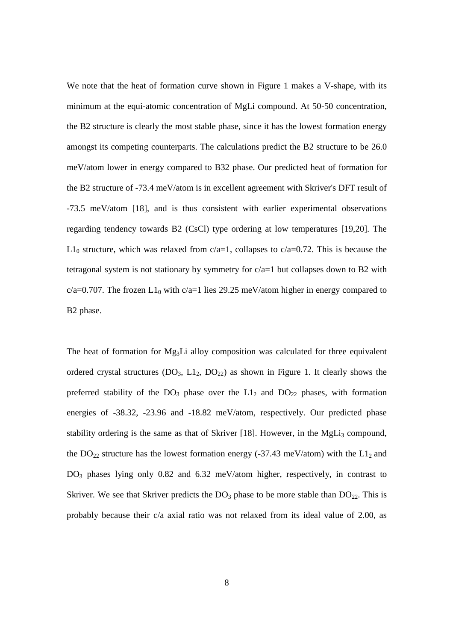We note that the heat of formation curve shown in Figure 1 makes a V-shape, with its minimum at the equi-atomic concentration of MgLi compound. At 50-50 concentration, the B2 structure is clearly the most stable phase, since it has the lowest formation energy amongst its competing counterparts. The calculations predict the B2 structure to be 26.0 meV/atom lower in energy compared to B32 phase. Our predicted heat of formation for the B2 structure of -73.4 meV/atom is in excellent agreement with Skriver's DFT result of -73.5 meV/atom [18], and is thus consistent with earlier experimental observations regarding tendency towards B2 (CsCl) type ordering at low temperatures [19,20]. The  $L1_0$  structure, which was relaxed from c/a=1, collapses to c/a=0.72. This is because the tetragonal system is not stationary by symmetry for  $c/a=1$  but collapses down to B2 with  $c/a=0.707$ . The frozen L1<sub>0</sub> with  $c/a=1$  lies 29.25 meV/atom higher in energy compared to B2 phase.

The heat of formation for Mg<sub>3</sub>Li alloy composition was calculated for three equivalent ordered crystal structures  $(DO<sub>3</sub>, L1<sub>2</sub>, DO<sub>22</sub>)$  as shown in Figure 1. It clearly shows the preferred stability of the  $DO<sub>3</sub>$  phase over the  $L1<sub>2</sub>$  and  $DO<sub>22</sub>$  phases, with formation energies of -38.32, -23.96 and -18.82 meV/atom, respectively. Our predicted phase stability ordering is the same as that of Skriver [18]. However, in the  $MgLi<sub>3</sub>$  compound, the  $DO_{22}$  structure has the lowest formation energy (-37.43 meV/atom) with the  $L1_2$  and DO3 phases lying only 0.82 and 6.32 meV/atom higher, respectively, in contrast to Skriver. We see that Skriver predicts the  $DO<sub>3</sub>$  phase to be more stable than  $DO<sub>22</sub>$ . This is probably because their c/a axial ratio was not relaxed from its ideal value of 2.00, as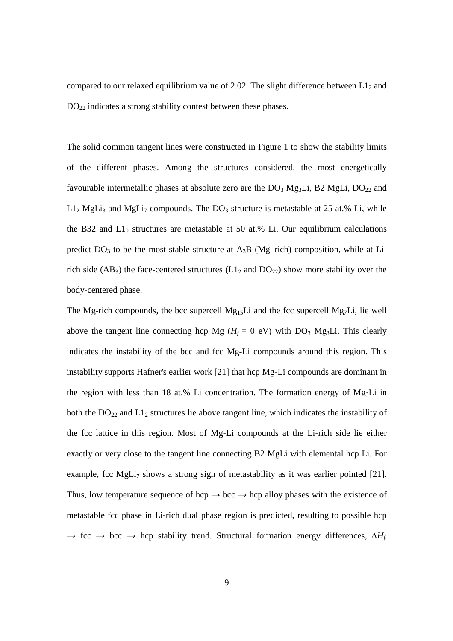compared to our relaxed equilibrium value of 2.02. The slight difference between  $L1_2$  and DO<sub>22</sub> indicates a strong stability contest between these phases.

The solid common tangent lines were constructed in Figure 1 to show the stability limits of the different phases. Among the structures considered, the most energetically favourable intermetallic phases at absolute zero are the  $DO<sub>3</sub> Mg<sub>3</sub>Li$ ,  $B<sub>2</sub> MgLi$ ,  $DO<sub>22</sub>$  and  $L1_2$  MgLi<sub>3</sub> and MgLi<sub>7</sub> compounds. The DO<sub>3</sub> structure is metastable at 25 at.% Li, while the B32 and  $L1_0$  structures are metastable at 50 at.% Li. Our equilibrium calculations predict  $DO<sub>3</sub>$  to be the most stable structure at  $A<sub>3</sub>B$  (Mg–rich) composition, while at Lirich side (AB<sub>3</sub>) the face-centered structures ( $L1<sub>2</sub>$  and  $DO<sub>22</sub>$ ) show more stability over the body-centered phase.

The Mg-rich compounds, the bcc supercell  $Mg_{15}Li$  and the fcc supercell  $Mg_{7}Li$ , lie well above the tangent line connecting hcp Mg ( $H_f = 0$  eV) with DO<sub>3</sub> Mg<sub>3</sub>Li. This clearly indicates the instability of the bcc and fcc Mg-Li compounds around this region. This instability supports Hafner's earlier work [21] that hcp Mg-Li compounds are dominant in the region with less than 18 at.% Li concentration. The formation energy of  $Mg_3Li$  in both the  $DO_{22}$  and  $L1_2$  structures lie above tangent line, which indicates the instability of the fcc lattice in this region. Most of Mg-Li compounds at the Li-rich side lie either exactly or very close to the tangent line connecting B2 MgLi with elemental hcp Li. For example, fcc MgLi<sub>7</sub> shows a strong sign of metastability as it was earlier pointed [21]. Thus, low temperature sequence of hcp  $\rightarrow$  bcc  $\rightarrow$  hcp alloy phases with the existence of metastable fcc phase in Li-rich dual phase region is predicted, resulting to possible hcp → fcc → bcc → hcp stability trend. Structural formation energy differences, ∆*Hf*,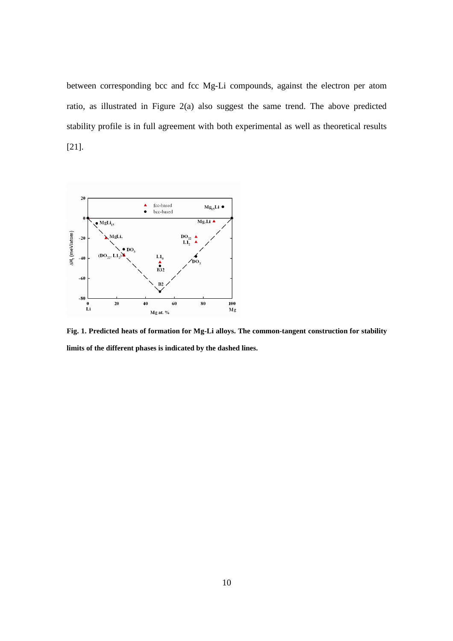between corresponding bcc and fcc Mg-Li compounds, against the electron per atom ratio, as illustrated in Figure 2(a) also suggest the same trend. The above predicted stability profile is in full agreement with both experimental as well as theoretical results [21].



**Fig. 1. Predicted heats of formation for Mg-Li alloys. The common-tangent construction for stability limits of the different phases is indicated by the dashed lines.**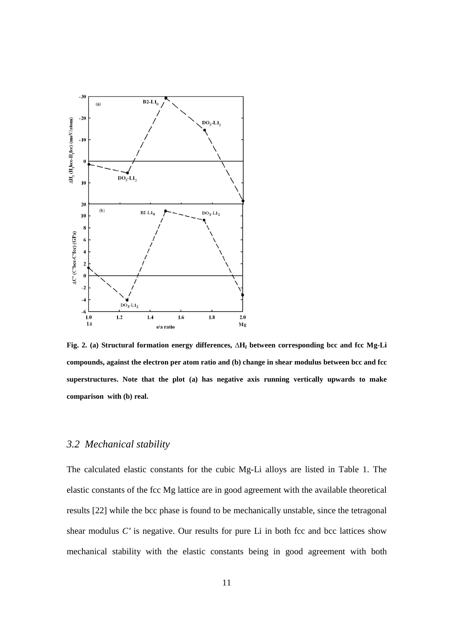

**Fig. 2. (a) Structural formation energy differences,** ∆**H<sup>f</sup> between corresponding bcc and fcc Mg-Li compounds, against the electron per atom ratio and (b) change in shear modulus between bcc and fcc superstructures. Note that the plot (a) has negative axis running vertically upwards to make comparison with (b) real.** 

## *3.2 Mechanical stability*

The calculated elastic constants for the cubic Mg-Li alloys are listed in Table 1. The elastic constants of the fcc Mg lattice are in good agreement with the available theoretical results [22] while the bcc phase is found to be mechanically unstable, since the tetragonal shear modulus  $C'$  is negative. Our results for pure Li in both fcc and bcc lattices show mechanical stability with the elastic constants being in good agreement with both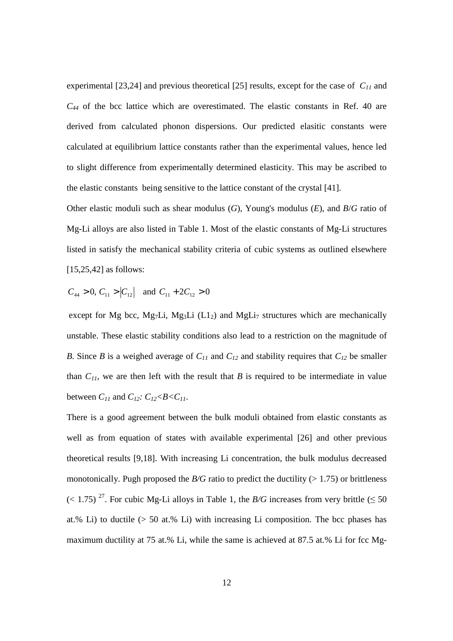experimental [23,24] and previous theoretical [25] results, except for the case of *C11* and  $C_{44}$  of the bcc lattice which are overestimated. The elastic constants in Ref. 40 are derived from calculated phonon dispersions. Our predicted elasitic constants were calculated at equilibrium lattice constants rather than the experimental values, hence led to slight difference from experimentally determined elasticity. This may be ascribed to the elastic constants being sensitive to the lattice constant of the crystal [41].

Other elastic moduli such as shear modulus (*G*), Young's modulus (*E*), and *B*/*G* ratio of Mg-Li alloys are also listed in Table 1. Most of the elastic constants of Mg-Li structures listed in satisfy the mechanical stability criteria of cubic systems as outlined elsewhere [15,25,42] as follows:

 $C_{44} > 0$ ,  $C_{11} > |C_{12}|$  and  $C_{11} + 2C_{12} > 0$ 

except for Mg bcc, Mg<sub>7</sub>Li, Mg<sub>3</sub>Li (L<sub>12</sub>) and MgLi<sub>7</sub> structures which are mechanically unstable. These elastic stability conditions also lead to a restriction on the magnitude of *B*. Since *B* is a weighed average of *C11* and *C12* and stability requires that *C12* be smaller than  $C_{II}$ , we are then left with the result that *B* is required to be intermediate in value between  $C_{11}$  and  $C_{12}$ *:*  $C_{12}$ *<B<C*<sub>11</sub>.

There is a good agreement between the bulk moduli obtained from elastic constants as well as from equation of states with available experimental [26] and other previous theoretical results [9,18]. With increasing Li concentration, the bulk modulus decreased monotonically. Pugh proposed the  $B/G$  ratio to predict the ductility ( $> 1.75$ ) or brittleness  $(< 1.75)$ <sup>27</sup>. For cubic Mg-Li alloys in Table 1, the *B/G* increases from very brittle ( $\leq 50$ ) at.% Li) to ductile  $(> 50$  at.% Li) with increasing Li composition. The bcc phases has maximum ductility at 75 at.% Li, while the same is achieved at 87.5 at.% Li for fcc Mg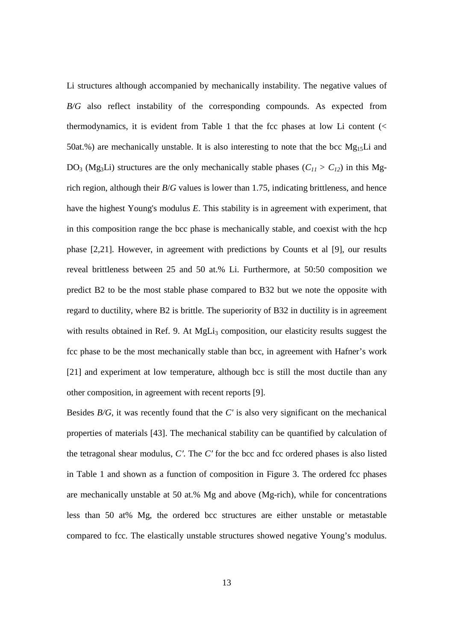Li structures although accompanied by mechanically instability. The negative values of *B/G* also reflect instability of the corresponding compounds. As expected from thermodynamics, it is evident from Table 1 that the fcc phases at low Li content  $\langle \langle \rangle$ 50at.%) are mechanically unstable. It is also interesting to note that the bcc  $Mg_{15}Li$  and DO<sub>3</sub> (Mg<sub>3</sub>Li) structures are the only mechanically stable phases ( $C_{11} > C_{12}$ ) in this Mgrich region, although their *B*/*G* values is lower than 1.75, indicating brittleness, and hence have the highest Young's modulus *E*. This stability is in agreement with experiment, that in this composition range the bcc phase is mechanically stable, and coexist with the hcp phase [2,21]. However, in agreement with predictions by Counts et al [9], our results reveal brittleness between 25 and 50 at.% Li. Furthermore, at 50:50 composition we predict B2 to be the most stable phase compared to B32 but we note the opposite with regard to ductility, where B2 is brittle. The superiority of B32 in ductility is in agreement with results obtained in Ref. 9. At  $MgLi<sub>3</sub>$  composition, our elasticity results suggest the fcc phase to be the most mechanically stable than bcc, in agreement with Hafner's work [21] and experiment at low temperature, although bcc is still the most ductile than any other composition, in agreement with recent reports [9].

Besides *B/G*, it was recently found that the *C'* is also very significant on the mechanical properties of materials [43]. The mechanical stability can be quantified by calculation of the tetragonal shear modulus, *C*′. The *C*′ for the bcc and fcc ordered phases is also listed in Table 1 and shown as a function of composition in Figure 3. The ordered fcc phases are mechanically unstable at 50 at.% Mg and above (Mg-rich), while for concentrations less than 50 at% Mg, the ordered bcc structures are either unstable or metastable compared to fcc. The elastically unstable structures showed negative Young's modulus.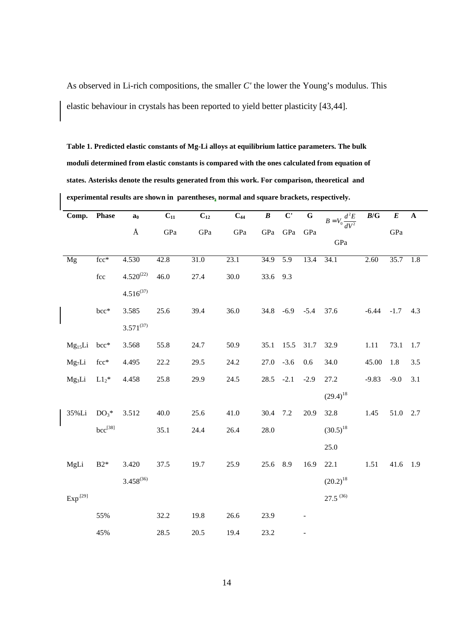As observed in Li-rich compositions, the smaller *C'* the lower the Young's modulus. This elastic behaviour in crystals has been reported to yield better plasticity [43,44].

**Table 1. Predicted elastic constants of Mg-Li alloys at equilibrium lattice parameters. The bulk moduli determined from elastic constants is compared with the ones calculated from equation of states. Asterisks denote the results generated from this work. For comparison, theoretical and experimental results are shown in parentheses, normal and square brackets, respectively.** 

| Comp.               | <b>Phase</b>         | a <sub>0</sub> | $C_{11}$ | $C_{12}$ | $C_{44}$ | $\pmb{B}$ | $\overline{\mathbf{C}}$ | $\overline{G}$ | $B = V_0 \frac{d^2 E}{dV^2}$ | B/G     | $\boldsymbol{E}$ | $\boldsymbol{\rm A}$ |
|---------------------|----------------------|----------------|----------|----------|----------|-----------|-------------------------|----------------|------------------------------|---------|------------------|----------------------|
|                     |                      | Å              | GPa      | GPa      | GPa      | GPa       | GPa                     | GPa            | GPa                          |         | GPa              |                      |
| Mg                  | $fcc*$               | 4.530          | 42.8     | 31.0     | 23.1     | 34.9      | 5.9                     | 13.4           | 34.1                         | 2.60    | 35.7             | 1.8                  |
|                     | $\operatorname{fcc}$ | $4.520^{(22)}$ | 46.0     | 27.4     | 30.0     | 33.6      | 9.3                     |                |                              |         |                  |                      |
|                     |                      | $4.516^{(37)}$ |          |          |          |           |                         |                |                              |         |                  |                      |
|                     | $bcc*$               | 3.585          | 25.6     | 39.4     | 36.0     | 34.8      | $-6.9$                  | $-5.4$         | 37.6                         | $-6.44$ | $-1.7$           | 4.3                  |
|                     |                      | $3.571^{(37)}$ |          |          |          |           |                         |                |                              |         |                  |                      |
| $Mg_{15}Li$         | bcc*                 | 3.568          | 55.8     | 24.7     | 50.9     | 35.1      | 15.5                    | 31.7           | 32.9                         | 1.11    | 73.1             | 1.7                  |
| Mg <sub>7</sub> Li  | fcc*                 | 4.495          | 22.2     | 29.5     | 24.2     | 27.0      | $-3.6$                  | 0.6            | 34.0                         | 45.00   | 1.8              | 3.5                  |
| $Mg_3Li$            | $L1_2$ *             | 4.458          | 25.8     | 29.9     | 24.5     | 28.5      | $-2.1$                  | $-2.9$         | 27.2                         | $-9.83$ | $-9.0$           | 3.1                  |
|                     |                      |                |          |          |          |           |                         |                | $(29.4)^{18}$                |         |                  |                      |
| 35%Li               | $DO3*$               | 3.512          | 40.0     | 25.6     | 41.0     | 30.4      | 7.2                     | 20.9           | 32.8                         | 1.45    | 51.0             | 2.7                  |
|                     | $bcc^{[38]}$         |                | 35.1     | 24.4     | 26.4     | 28.0      |                         |                | $(30.5)^{18}$                |         |                  |                      |
|                     |                      |                |          |          |          |           |                         |                | 25.0                         |         |                  |                      |
| MgLi                | $B2*$                | 3.420          | 37.5     | 19.7     | 25.9     | 25.6      | 8.9                     | 16.9           | 22.1                         | 1.51    | 41.6             | 1.9                  |
|                     |                      | $3.458^{(36)}$ |          |          |          |           |                         |                | $(20.2)^{18}$                |         |                  |                      |
| Exp <sup>[29]</sup> |                      |                |          |          |          |           |                         |                | $27.5^{(36)}$                |         |                  |                      |
|                     | 55%                  |                | 32.2     | 19.8     | 26.6     | 23.9      |                         |                |                              |         |                  |                      |
|                     | 45%                  |                | 28.5     | 20.5     | 19.4     | 23.2      |                         |                |                              |         |                  |                      |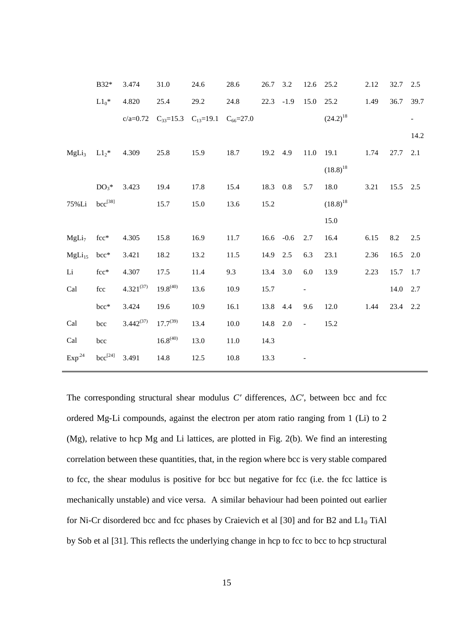|                    | B32*                | 3.474          | 31.0          | 24.6                                                  | 28.6 | 26.7 | 3.2    | 12.6 25.2                |               | 2.12 | 32.7     | 2.5  |
|--------------------|---------------------|----------------|---------------|-------------------------------------------------------|------|------|--------|--------------------------|---------------|------|----------|------|
|                    | $L1_0$ *            | 4.820          | 25.4          | 29.2                                                  | 24.8 | 22.3 | $-1.9$ | 15.0                     | 25.2          | 1.49 | 36.7     | 39.7 |
|                    |                     |                |               | c/a=0.72 $C_{33}$ =15.3 $C_{13}$ =19.1 $C_{66}$ =27.0 |      |      |        |                          | $(24.2)^{18}$ |      |          | -    |
|                    |                     |                |               |                                                       |      |      |        |                          |               |      |          | 14.2 |
| MgLi <sub>3</sub>  | $L1_2$ <sup>*</sup> | 4.309          | 25.8          | 15.9                                                  | 18.7 | 19.2 | 4.9    | 11.0                     | 19.1          | 1.74 | 27.7     | 2.1  |
|                    |                     |                |               |                                                       |      |      |        |                          | $(18.8)^{18}$ |      |          |      |
|                    | $DO3$ *             | 3.423          | 19.4          | 17.8                                                  | 15.4 | 18.3 | 0.8    | 5.7                      | 18.0          | 3.21 | 15.5     | 2.5  |
| 75%Li              | $bcc^{[38]}$        |                | 15.7          | 15.0                                                  | 13.6 | 15.2 |        |                          | $(18.8)^{18}$ |      |          |      |
|                    |                     |                |               |                                                       |      |      |        |                          | 15.0          |      |          |      |
| MgLi <sub>7</sub>  | $fcc*$              | 4.305          | 15.8          | 16.9                                                  | 11.7 | 16.6 | $-0.6$ | 2.7                      | 16.4          | 6.15 | 8.2      | 2.5  |
| $MgLi_{15}$        | bcc*                | 3.421          | 18.2          | 13.2                                                  | 11.5 | 14.9 | 2.5    | 6.3                      | 23.1          | 2.36 | 16.5     | 2.0  |
| Li                 | $fcc*$              | 4.307          | 17.5          | 11.4                                                  | 9.3  | 13.4 | 3.0    | 6.0                      | 13.9          | 2.23 | 15.7     | 1.7  |
| Cal                | fcc                 | $4.321^{(37)}$ | $19.8^{(40)}$ | 13.6                                                  | 10.9 | 15.7 |        | $\overline{\phantom{a}}$ |               |      | 14.0 2.7 |      |
|                    | bcc*                | 3.424          | 19.6          | 10.9                                                  | 16.1 | 13.8 | 4.4    | 9.6                      | 12.0          | 1.44 | 23.4 2.2 |      |
| Cal                | bcc                 | $3.442^{(37)}$ | $17.7^{(39)}$ | 13.4                                                  | 10.0 | 14.8 | 2.0    | $\mathbf{r}$             | 15.2          |      |          |      |
| Cal                | bcc                 |                | $16.8^{(40)}$ | 13.0                                                  | 11.0 | 14.3 |        |                          |               |      |          |      |
| Exp <sup>.24</sup> | $bcc^{[24]}$        | 3.491          | 14.8          | 12.5                                                  | 10.8 | 13.3 |        |                          |               |      |          |      |
|                    |                     |                |               |                                                       |      |      |        |                          |               |      |          |      |

The corresponding structural shear modulus *C'* differences, Δ*C'*, between bcc and fcc ordered Mg-Li compounds, against the electron per atom ratio ranging from 1 (Li) to 2 (Mg), relative to hcp Mg and Li lattices, are plotted in Fig. 2(b). We find an interesting correlation between these quantities, that, in the region where bcc is very stable compared to fcc, the shear modulus is positive for bcc but negative for fcc (i.e. the fcc lattice is mechanically unstable) and vice versa. A similar behaviour had been pointed out earlier for Ni-Cr disordered bcc and fcc phases by Craievich et al  $[30]$  and for B2 and L1 $_0$  TiAl by Sob et al [31]. This reflects the underlying change in hcp to fcc to bcc to hcp structural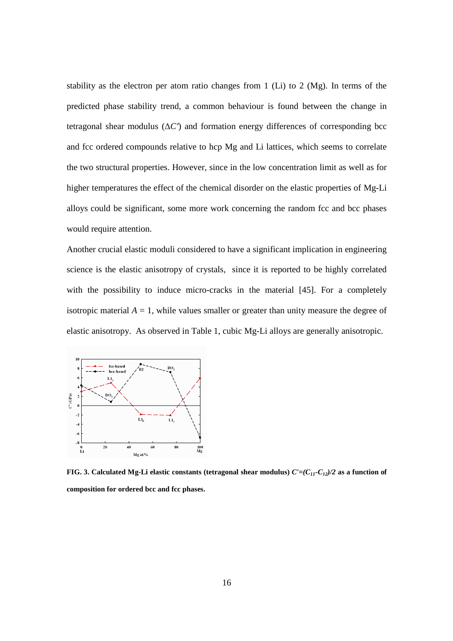stability as the electron per atom ratio changes from 1 (Li) to 2 (Mg). In terms of the predicted phase stability trend, a common behaviour is found between the change in tetragonal shear modulus (∆*C*′) and formation energy differences of corresponding bcc and fcc ordered compounds relative to hcp Mg and Li lattices, which seems to correlate the two structural properties. However, since in the low concentration limit as well as for higher temperatures the effect of the chemical disorder on the elastic properties of Mg-Li alloys could be significant, some more work concerning the random fcc and bcc phases would require attention.

Another crucial elastic moduli considered to have a significant implication in engineering science is the elastic anisotropy of crystals, since it is reported to be highly correlated with the possibility to induce micro-cracks in the material [45]. For a completely isotropic material  $A = 1$ , while values smaller or greater than unity measure the degree of elastic anisotropy. As observed in Table 1, cubic Mg-Li alloys are generally anisotropic.



**FIG. 3. Calculated Mg-Li elastic constants (tetragonal shear modulus)** *C'=(C11-C12)/2* **as a function of composition for ordered bcc and fcc phases.**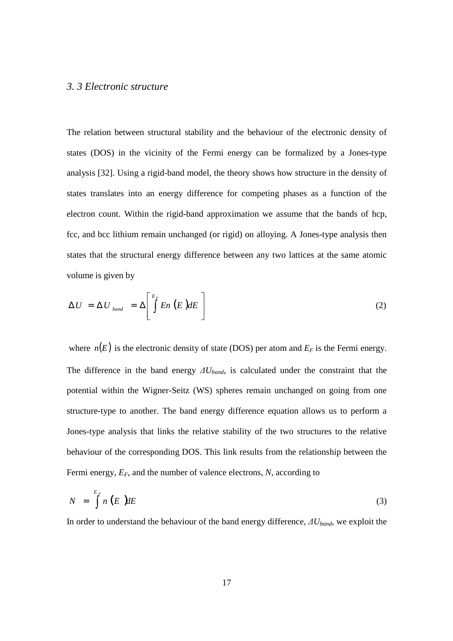#### *3. 3 Electronic structure*

The relation between structural stability and the behaviour of the electronic density of states (DOS) in the vicinity of the Fermi energy can be formalized by a Jones-type analysis [32]. Using a rigid-band model, the theory shows how structure in the density of states translates into an energy difference for competing phases as a function of the electron count. Within the rigid-band approximation we assume that the bands of hcp, fcc, and bcc lithium remain unchanged (or rigid) on alloying. A Jones-type analysis then states that the structural energy difference between any two lattices at the same atomic volume is given by

$$
\Delta U = \Delta U_{band} = \Delta \left[ \int_{0}^{E_F} E_n(E) dE \right]
$$
 (2)

where  $n(E)$  is the electronic density of state (DOS) per atom and  $E_F$  is the Fermi energy. The difference in the band energy ∆*Uband*, is calculated under the constraint that the potential within the Wigner-Seitz (WS) spheres remain unchanged on going from one structure-type to another. The band energy difference equation allows us to perform a Jones-type analysis that links the relative stability of the two structures to the relative behaviour of the corresponding DOS. This link results from the relationship between the Fermi energy, *EF*, and the number of valence electrons, *N*, according to

$$
N = \int_{0}^{E_{F}} n(E) dE \tag{3}
$$

In order to understand the behaviour of the band energy difference, ∆*Uband*, we exploit the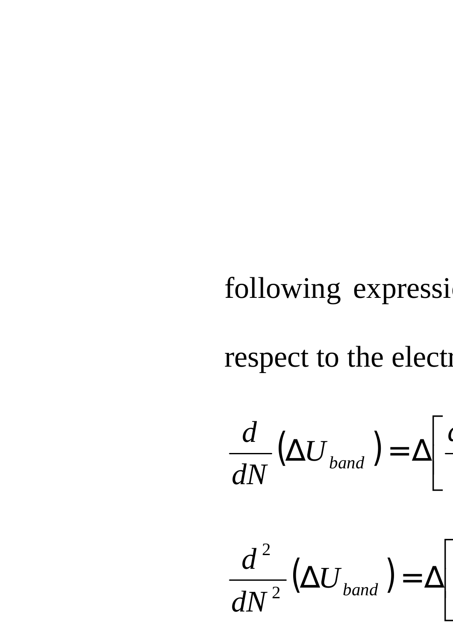# following expressi

# respect to the electron

 $\left(\Delta U_{\text{band}}\right)$  $\overline{a}$ *U dN d*  $\begin{bmatrix} 1 & 1 \\ 1 & 1 \end{bmatrix}$  $\overline{\phantom{a}}$  $\overline{\phantom{a}}$  $\Delta {U}_{band}^{\rm{(}}$   $)=\Delta$ 

 $\frac{1}{2} \big( \Delta U_{\text{band}} \big)$ 2  $\overline{\phantom{a}}$  $\overline{\phantom{a}}$  $\sqrt{2}$  $\Delta{U}_{\mathit{band}}$   $)= \Delta$ *dN d*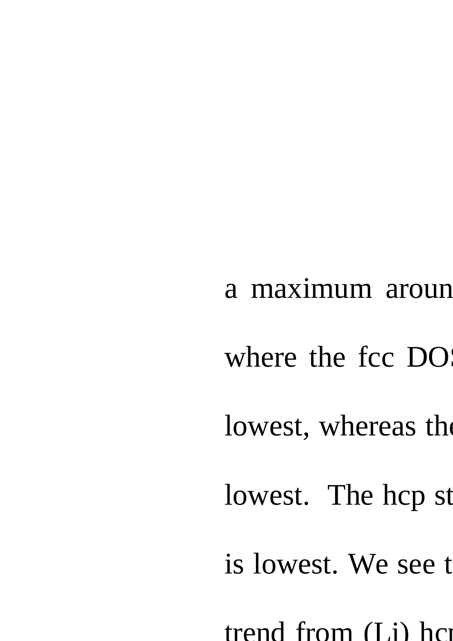a maximum aroun

where the fcc DO

lowest, whereas the

lowest. The hcp st

is lowest. We see that

trend from  $(I<sub>i</sub>)$  hc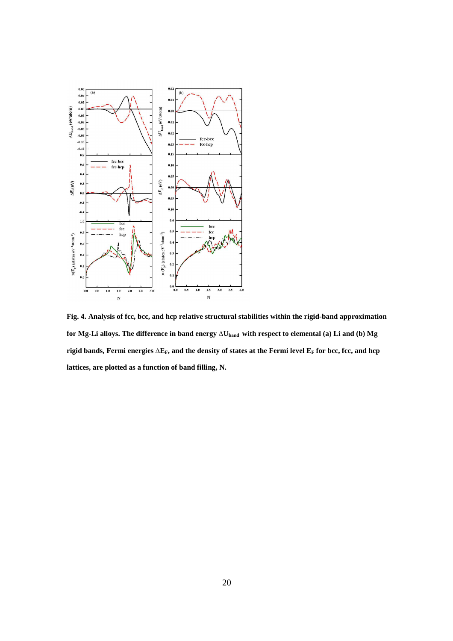

**Fig. 4. Analysis of fcc, bcc, and hcp relative structural stabilities within the rigid-band approximation for Mg-Li alloys. The difference in band energy** ∆**Uband with respect to elemental (a) Li and (b) Mg rigid bands, Fermi energies** ∆**EF, and the density of states at the Fermi level EF for bcc, fcc, and hcp lattices, are plotted as a function of band filling, N.**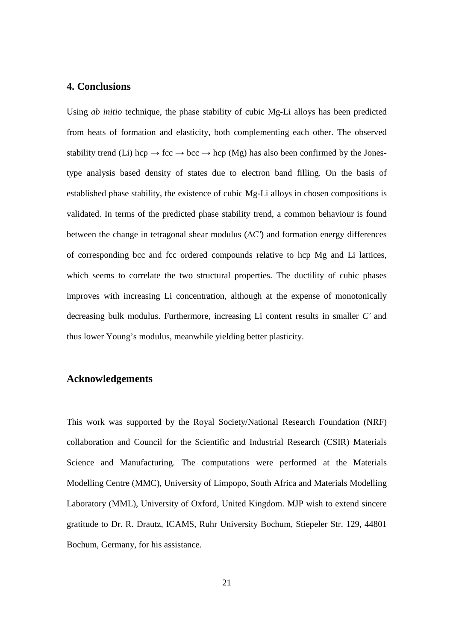### **4. Conclusions**

Using *ab initio* technique, the phase stability of cubic Mg-Li alloys has been predicted from heats of formation and elasticity, both complementing each other. The observed stability trend (Li) hcp  $\rightarrow$  fcc  $\rightarrow$  bcc  $\rightarrow$  hcp (Mg) has also been confirmed by the Jonestype analysis based density of states due to electron band filling. On the basis of established phase stability, the existence of cubic Mg-Li alloys in chosen compositions is validated. In terms of the predicted phase stability trend, a common behaviour is found between the change in tetragonal shear modulus  $(\Delta C')$  and formation energy differences of corresponding bcc and fcc ordered compounds relative to hcp Mg and Li lattices, which seems to correlate the two structural properties. The ductility of cubic phases improves with increasing Li concentration, although at the expense of monotonically decreasing bulk modulus. Furthermore, increasing Li content results in smaller *C*′ and thus lower Young's modulus, meanwhile yielding better plasticity.

# **Acknowledgements**

This work was supported by the Royal Society/National Research Foundation (NRF) collaboration and Council for the Scientific and Industrial Research (CSIR) Materials Science and Manufacturing. The computations were performed at the Materials Modelling Centre (MMC), University of Limpopo, South Africa and Materials Modelling Laboratory (MML), University of Oxford, United Kingdom. MJP wish to extend sincere gratitude to Dr. R. Drautz, ICAMS, Ruhr University Bochum, Stiepeler Str. 129, 44801 Bochum, Germany, for his assistance.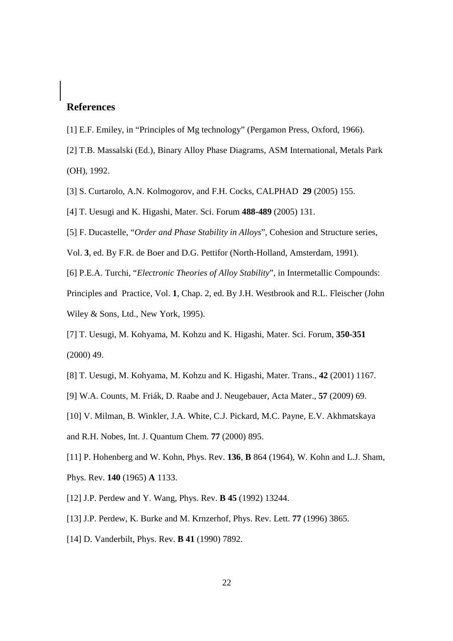# **References**

- [1] E.F. Emiley, in "Principles of Mg technology" (Pergamon Press, Oxford, 1966).
- [2] T.B. Massalski (Ed.), Binary Alloy Phase Diagrams, ASM International, Metals Park (OH), 1992.
- [3] S. Curtarolo, A.N. Kolmogorov, and F.H. Cocks, CALPHAD **29** (2005) 155.
- [4] T. Uesugi and K. Higashi, Mater. Sci. Forum **488-489** (2005) 131.
- [5] F. Ducastelle, "*Order and Phase Stability in Alloys*", Cohesion and Structure series,
- Vol. **3**, ed. By F.R. de Boer and D.G. Pettifor (North-Holland, Amsterdam, 1991).
- [6] P.E.A. Turchi, "*Electronic Theories of Alloy Stability*", in Intermetallic Compounds:
- Principles and Practice, Vol. **1**, Chap. 2, ed. By J.H. Westbrook and R.L. Fleischer (John Wiley & Sons, Ltd., New York, 1995).
- [7] T. Uesugi, M. Kohyama, M. Kohzu and K. Higashi, Mater. Sci. Forum, **350-351**  (2000) 49.
- [8] T. Uesugi, M. Kohyama, M. Kohzu and K. Higashi, Mater. Trans., **42** (2001) 1167.
- [9] W.A. Counts, M. Friák, D. Raabe and J. Neugebauer, Acta Mater., **57** (2009) 69.
- [10] V. Milman, B. Winkler, J.A. White, C.J. Pickard, M.C. Payne, E.V. Akhmatskaya
- and R.H. Nobes, Int. J. Quantum Chem. **77** (2000) 895.
- [11] P. Hohenberg and W. Kohn, Phys. Rev. **136**, **B** 864 (1964), W. Kohn and L.J. Sham, Phys. Rev. **140** (1965) **A** 1133.
- [12] J.P. Perdew and Y. Wang, Phys. Rev. **B 45** (1992) 13244.
- [13] J.P. Perdew, K. Burke and M. Krnzerhof, Phys. Rev. Lett. **77** (1996) 3865.
- [14] D. Vanderbilt, Phys. Rev. **B 41** (1990) 7892.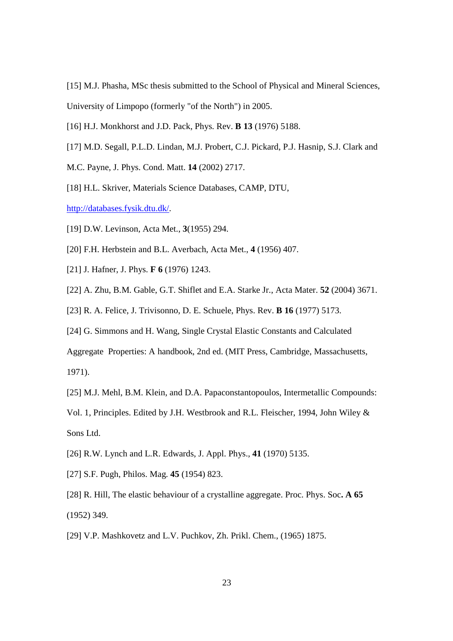[15] M.J. Phasha, MSc thesis submitted to the School of Physical and Mineral Sciences, University of Limpopo (formerly "of the North") in 2005.

- [16] H.J. Monkhorst and J.D. Pack, Phys. Rev. **B 13** (1976) 5188.
- [17] M.D. Segall, P.L.D. Lindan, M.J. Probert, C.J. Pickard, P.J. Hasnip, S.J. Clark and
- M.C. Payne, J. Phys. Cond. Matt. **14** (2002) 2717.
- [18] H.L. Skriver, Materials Science Databases, CAMP, DTU,

http://databases.fysik.dtu.dk/.

- [19] D.W. Levinson, Acta Met., **3**(1955) 294.
- [20] F.H. Herbstein and B.L. Averbach, Acta Met., **4** (1956) 407.
- [21] J. Hafner, J. Phys. **F 6** (1976) 1243.
- [22] A. Zhu, B.M. Gable, G.T. Shiflet and E.A. Starke Jr., Acta Mater. **52** (2004) 3671.
- [23] R. A. Felice, J. Trivisonno, D. E. Schuele, Phys. Rev. **B 16** (1977) 5173.
- [24] G. Simmons and H. Wang, Single Crystal Elastic Constants and Calculated

Aggregate Properties: A handbook, 2nd ed. (MIT Press, Cambridge, Massachusetts,

1971).

[25] M.J. Mehl, B.M. Klein, and D.A. Papaconstantopoulos, Intermetallic Compounds:

Vol. 1, Principles. Edited by J.H. Westbrook and R.L. Fleischer, 1994, John Wiley & Sons Ltd.

- [26] R.W. Lynch and L.R. Edwards, J. Appl. Phys., **41** (1970) 5135.
- [27] S.F. Pugh, Philos. Mag. **45** (1954) 823.
- [28] R. Hill, The elastic behaviour of a crystalline aggregate. Proc. Phys. Soc**. A 65** (1952) 349.
- [29] V.P. Mashkovetz and L.V. Puchkov, Zh. Prikl. Chem., (1965) 1875.